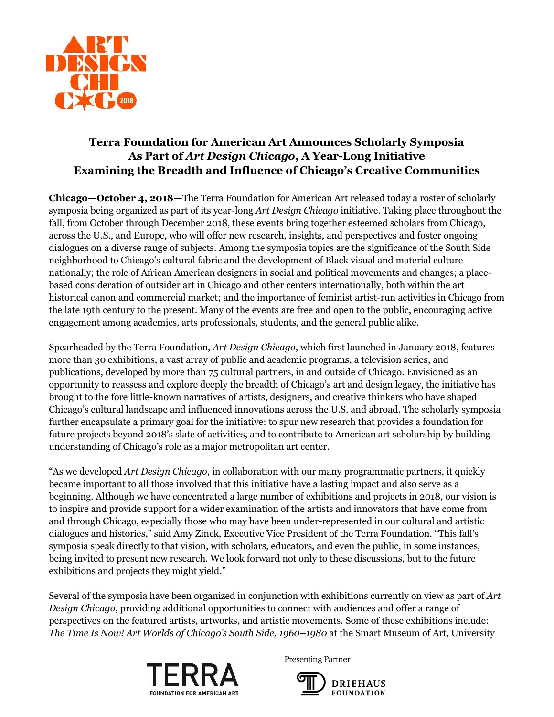

# **Terra Foundation for American Art Announces Scholarly Symposia As Part of** *Art Design Chicago***, A Year-Long Initiative Examining the Breadth and Influence of Chicago's Creative Communities**

**Chicago—October 4, 2018—**The Terra Foundation for American Art released today a roster of scholarly symposia being organized as part of its year-long *Art Design Chicago* initiative. Taking place throughout the fall, from October through December 2018, these events bring together esteemed scholars from Chicago, across the U.S., and Europe, who will offer new research, insights, and perspectives and foster ongoing dialogues on a diverse range of subjects. Among the symposia topics are the significance of the South Side neighborhood to Chicago's cultural fabric and the development of Black visual and material culture nationally; the role of African American designers in social and political movements and changes; a placebased consideration of outsider art in Chicago and other centers internationally, both within the art historical canon and commercial market; and the importance of feminist artist-run activities in Chicago from the late 19th century to the present. Many of the events are free and open to the public, encouraging active engagement among academics, arts professionals, students, and the general public alike.

Spearheaded by the Terra Foundation, *Art Design Chicago*, which first launched in January 2018, features more than 30 exhibitions, a vast array of public and academic programs, a television series, and publications, developed by more than 75 cultural partners, in and outside of Chicago. Envisioned as an opportunity to reassess and explore deeply the breadth of Chicago's art and design legacy, the initiative has brought to the fore little-known narratives of artists, designers, and creative thinkers who have shaped Chicago's cultural landscape and influenced innovations across the U.S. and abroad. The scholarly symposia further encapsulate a primary goal for the initiative: to spur new research that provides a foundation for future projects beyond 2018's slate of activities, and to contribute to American art scholarship by building understanding of Chicago's role as a major metropolitan art center.

"As we developed *Art Design Chicago*, in collaboration with our many programmatic partners, it quickly became important to all those involved that this initiative have a lasting impact and also serve as a beginning. Although we have concentrated a large number of exhibitions and projects in 2018, our vision is to inspire and provide support for a wider examination of the artists and innovators that have come from and through Chicago, especially those who may have been under-represented in our cultural and artistic dialogues and histories," said Amy Zinck, Executive Vice President of the Terra Foundation. "This fall's symposia speak directly to that vision, with scholars, educators, and even the public, in some instances, being invited to present new research. We look forward not only to these discussions, but to the future exhibitions and projects they might yield."

Several of the symposia have been organized in conjunction with exhibitions currently on view as part of *Art Design Chicago*, providing additional opportunities to connect with audiences and offer a range of perspectives on the featured artists, artworks, and artistic movements. Some of these exhibitions include: *The Time Is Now! Art Worlds of Chicago's South Side, 1960–1980* at the Smart Museum of Art, University



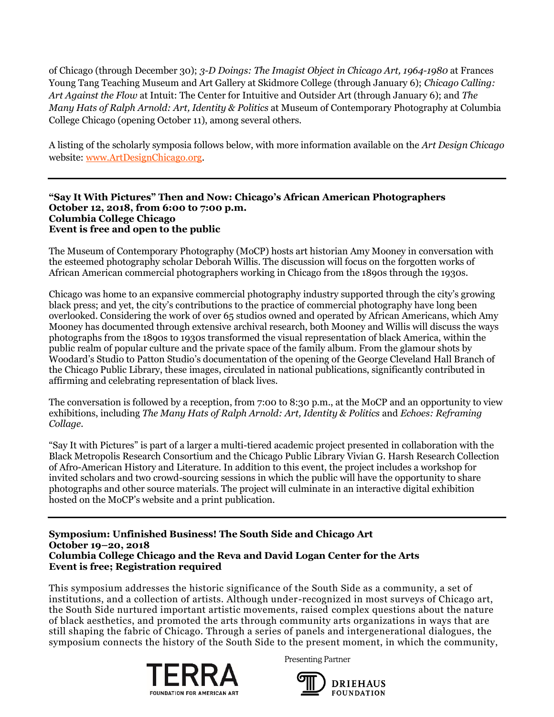of Chicago (through December 30); *3-D Doings: The Imagist Object in Chicago Art, 1964-1980* at Frances Young Tang Teaching Museum and Art Gallery at Skidmore College (through January 6); *Chicago Calling: Art Against the Flow* at Intuit: The Center for Intuitive and Outsider Art (through January 6); and *The Many Hats of Ralph Arnold: Art, Identity & Politics* at Museum of Contemporary Photography at Columbia College Chicago (opening October 11), among several others.

A listing of the scholarly symposia follows below, with more information available on the *Art Design Chicago* website: [www.ArtDesignChicago.org.](http://www.artdesignchicago.org/)

### **"Say It With Pictures" Then and Now: Chicago's African American Photographers October 12, 2018, from 6:00 to 7:00 p.m. Columbia College Chicago Event is free and open to the public**

The Museum of Contemporary Photography (MoCP) hosts art historian Amy Mooney in conversation with the esteemed photography scholar Deborah Willis. The discussion will focus on the forgotten works of African American commercial photographers working in Chicago from the 1890s through the 1930s.

Chicago was home to an expansive commercial photography industry supported through the city's growing black press; and yet, the city's contributions to the practice of commercial photography have long been overlooked. Considering the work of over 65 studios owned and operated by African Americans, which Amy Mooney has documented through extensive archival research, both Mooney and Willis will discuss the ways photographs from the 1890s to 1930s transformed the visual representation of black America, within the public realm of popular culture and the private space of the family album. From the glamour shots by Woodard's Studio to Patton Studio's documentation of the opening of the George Cleveland Hall Branch of the Chicago Public Library, these images, circulated in national publications, significantly contributed in affirming and celebrating representation of black lives.

The conversation is followed by a reception, from 7:00 to 8:30 p.m., at the MoCP and an opportunity to view exhibitions, including *The Many Hats of Ralph Arnold: Art, Identity & Politics* and *Echoes: Reframing Collage.*

"Say It with Pictures" is part of a larger a multi-tiered academic project presented in collaboration with the Black Metropolis Research Consortium and the Chicago Public Library Vivian G. Harsh Research Collection of Afro-American History and Literature. In addition to this event, the project includes a workshop for invited scholars and two crowd-sourcing sessions in which the public will have the opportunity to share photographs and other source materials. The project will culminate in an interactive digital exhibition hosted on the MoCP's website and a print publication.

**Symposium: Unfinished Business! The South Side and Chicago Art October 19–20, 2018 Columbia College Chicago and the Reva and David Logan Center for the Arts Event is free; Registration required** 

This symposium addresses the historic significance of the South Side as a community, a set of institutions, and a collection of artists. Although under-recognized in most surveys of Chicago art, the South Side nurtured important artistic movements, raised complex questions about the nature of black aesthetics, and promoted the arts through community arts organizations in ways that are still shaping the fabric of Chicago. Through a series of panels and intergenerational dialogues, the symposium connects the history of the South Side to the present moment, in which the community,



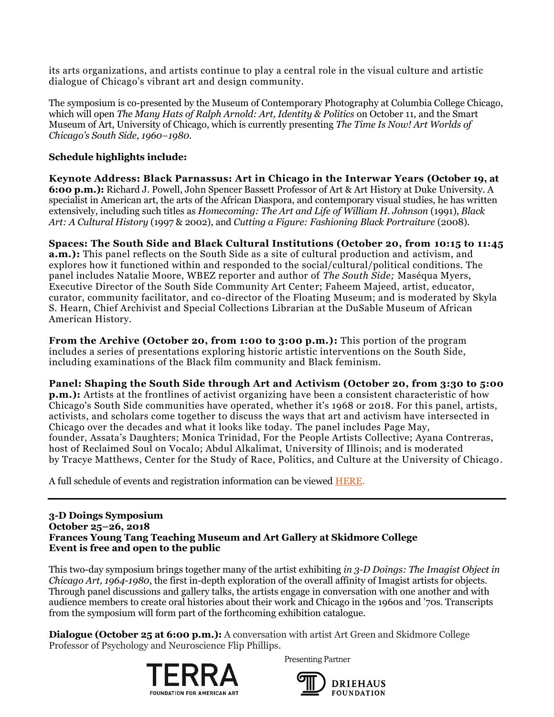its arts organizations, and artists continue to play a central role in the visual culture and artistic dialogue of Chicago's vibrant art and design community.

The symposium is co-presented by the Museum of Contemporary Photography at Columbia College Chicago, which will open *The Many Hats of Ralph Arnold: Art, Identity & Politics* on October 11*,* and the Smart Museum of Art, University of Chicago, which is currently presenting *The Time Is Now! Art Worlds of Chicago's South Side, 1960–1980.*

# **Schedule highlights include:**

**Keynote Address: Black Parnassus: Art in Chicago in the Interwar Years (October 19, at 6:00 p.m.):** Richard J. Powell, John Spencer Bassett Professor of Art & Art History at Duke University. A specialist in American art, the arts of the African Diaspora, and contemporary visual studies, he has written extensively, including such titles as *Homecoming: The Art and Life of William H. Johnson* (1991), *Black Art: A Cultural History* (1997 & 2002), and *Cutting a Figure: Fashioning Black Portraiture* (2008).

# **Spaces: The South Side and Black Cultural Institutions (October 20, from 10:15 to 11:45**

**a.m.):** This panel reflects on the South Side as a site of cultural production and activism, and explores how it functioned within and responded to the social/cultural/political conditions. The panel includes Natalie Moore, WBEZ reporter and author of *The South Side;* Maséqua Myers, Executive Director of the South Side Community Art Center; Faheem Majeed, artist, educator, curator, community facilitator, and co-director of the Floating Museum; and is moderated by Skyla S. Hearn, Chief Archivist and Special Collections Librarian at the DuSable Museum of African American History.

**From the Archive (October 20, from 1:00 to 3:00 p.m.):** This portion of the program includes a series of presentations exploring historic artistic interventions on the South Side, including examinations of the Black film community and Black feminism.

### **Panel: Shaping the South Side through Art and Activism (October 20, from 3:30 to 5:00**

**p.m.):** Artists at the frontlines of activist organizing have been a consistent characteristic of how Chicago's South Side communities have operated, whether it's 1968 or 2018. For this panel, artists, activists, and scholars come together to discuss the ways that art and activism have intersected in Chicago over the decades and what it looks like today. The panel includes Page May, founder, Assata's Daughters; Monica Trinidad, For the People Artists Collective; Ayana Contreras, host of Reclaimed Soul on Vocalo; Abdul Alkalimat, University of Illinois; and is moderated by Tracye Matthews, Center for the Study of Race, Politics, and Culture at the University of Chicago.

A full schedule of events and registration information can be viewed [HERE.](https://www.eventbrite.com/e/unfinished-business-the-south-side-and-chicago-art-registration-50912770467?aff=ADC)

#### **3-D Doings Symposium October 25–26, 2018 Frances Young Tang Teaching Museum and Art Gallery at Skidmore College Event is free and open to the public**

This two-day symposium brings together many of the artist exhibiting *in 3-D Doings: The Imagist Object in Chicago Art, 1964-1980*, the first in-depth exploration of the overall affinity of Imagist artists for objects. Through panel discussions and gallery talks, the artists engage in conversation with one another and with audience members to create oral histories about their work and Chicago in the 1960s and '70s. Transcripts from the symposium will form part of the forthcoming exhibition catalogue.

**Dialogue (October 25 at 6:00 p.m.):** A conversation with artist Art Green and Skidmore College Professor of Psychology and Neuroscience Flip Phillips.



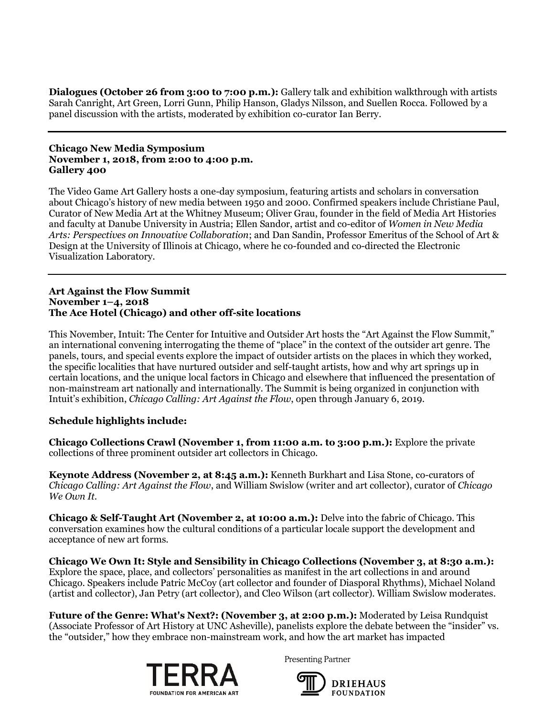**Dialogues (October 26 from 3:00 to 7:00 p.m.):** Gallery talk and exhibition walkthrough with artists Sarah Canright, Art Green, Lorri Gunn, Philip Hanson, Gladys Nilsson, and Suellen Rocca. Followed by a panel discussion with the artists, moderated by exhibition co-curator Ian Berry.

### **Chicago New Media Symposium November 1, 2018, from 2:00 to 4:00 p.m. Gallery 400**

The Video Game Art Gallery hosts a one-day symposium, featuring artists and scholars in conversation about Chicago's history of new media between 1950 and 2000. Confirmed speakers include Christiane Paul, Curator of New Media Art at the Whitney Museum; Oliver Grau, founder in the field of Media Art Histories and faculty at Danube University in Austria; Ellen Sandor, artist and co-editor of *Women in New Media Arts: Perspectives on Innovative Collaboration*; and Dan Sandin, Professor Emeritus of the School of Art & Design at the University of Illinois at Chicago, where he co-founded and co-directed the Electronic Visualization Laboratory.

### **Art Against the Flow Summit November 1–4, 2018 The Ace Hotel (Chicago) and other off-site locations**

This November, Intuit: The Center for Intuitive and Outsider Art hosts the "Art Against the Flow Summit," an international convening interrogating the theme of "place" in the context of the outsider art genre. The panels, tours, and special events explore the impact of outsider artists on the places in which they worked, the specific localities that have nurtured outsider and self-taught artists, how and why art springs up in certain locations, and the unique local factors in Chicago and elsewhere that influenced the presentation of non-mainstream art nationally and internationally. The Summit is being organized in conjunction with Intuit's exhibition, *Chicago Calling: Art Against the Flow*, open through January 6, 2019.

# **Schedule highlights include:**

**Chicago Collections Crawl (November 1, from 11:00 a.m. to 3:00 p.m.):** Explore the private collections of three prominent outsider art collectors in Chicago.

**Keynote Address (November 2, at 8:45 a.m.):** Kenneth Burkhart and Lisa Stone, co-curators of *Chicago Calling: Art Against the Flow*, and William Swislow (writer and art collector), curator of *Chicago We Own It*.

**Chicago & Self-Taught Art (November 2, at 10:00 a.m.):** Delve into the fabric of Chicago. This conversation examines how the cultural conditions of a particular locale support the development and acceptance of new art forms.

**Chicago We Own It: Style and Sensibility in Chicago Collections (November 3, at 8:30 a.m.):**  Explore the space, place, and collectors' personalities as manifest in the art collections in and around Chicago. Speakers include Patric McCoy (art collector and founder of Diasporal Rhythms), Michael Noland (artist and collector), Jan Petry (art collector), and Cleo Wilson (art collector). William Swislow moderates.

**Future of the Genre: What's Next?: (November 3, at 2:00 p.m.):** Moderated by Leisa Rundquist (Associate Professor of Art History at UNC Asheville), panelists explore the debate between the "insider" vs. the "outsider," how they embrace non-mainstream work, and how the art market has impacted



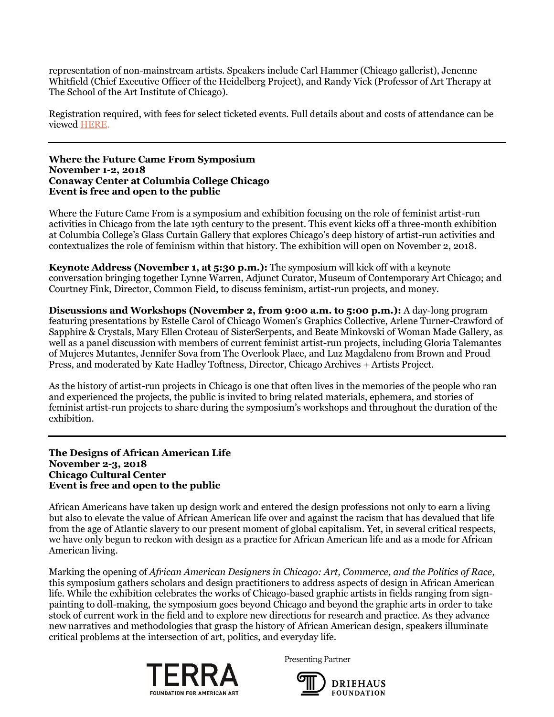representation of non-mainstream artists. Speakers include Carl Hammer (Chicago gallerist), Jenenne Whitfield (Chief Executive Officer of the Heidelberg Project), and Randy Vick (Professor of Art Therapy at The School of the Art Institute of Chicago).

Registration required, with fees for select ticketed events. Full details about and costs of attendance can be viewe[d HERE.](http://www.art.org/art-against-the-flow-summit/)

#### **Where the Future Came From Symposium November 1-2, 2018 Conaway Center at Columbia College Chicago Event is free and open to the public**

Where the Future Came From is a symposium and exhibition focusing on the role of feminist artist-run activities in Chicago from the late 19th century to the present. This event kicks off a three-month exhibition at Columbia College's Glass Curtain Gallery that explores Chicago's deep history of artist-run activities and contextualizes the role of feminism within that history. The exhibition will open on November 2, 2018.

**Keynote Address (November 1, at 5:30 p.m.):** The symposium will kick off with a keynote conversation bringing together Lynne Warren, Adjunct Curator, Museum of Contemporary Art Chicago; and Courtney Fink, Director, Common Field, to discuss feminism, artist-run projects, and money.

**Discussions and Workshops (November 2, from 9:00 a.m. to 5:00 p.m.):** A day-long program featuring presentations by Estelle Carol of Chicago Women's Graphics Collective, Arlene Turner-Crawford of Sapphire & Crystals, Mary Ellen Croteau of SisterSerpents, and Beate Minkovski of Woman Made Gallery, as well as a panel discussion with members of current feminist artist-run projects, including Gloria Talemantes of Mujeres Mutantes, Jennifer Sova from The Overlook Place, and Luz Magdaleno from Brown and Proud Press, and moderated by Kate Hadley Toftness, Director, Chicago Archives + Artists Project.

As the history of artist-run projects in Chicago is one that often lives in the memories of the people who ran and experienced the projects, the public is invited to bring related materials, ephemera, and stories of feminist artist-run projects to share during the symposium's workshops and throughout the duration of the exhibition.

**The Designs of African American Life November 2-3, 2018 Chicago Cultural Center Event is free and open to the public**

African Americans have taken up design work and entered the design professions not only to earn a living but also to elevate the value of African American life over and against the racism that has devalued that life from the age of Atlantic slavery to our present moment of global capitalism. Yet, in several critical respects, we have only begun to reckon with design as a practice for African American life and as a mode for African American living.

Marking the opening of *African American Designers in Chicago: Art, Commerce, and the Politics of Race,* this symposium gathers scholars and design practitioners to address aspects of design in African American life. While the exhibition celebrates the works of Chicago-based graphic artists in fields ranging from signpainting to doll-making, the symposium goes beyond Chicago and beyond the graphic arts in order to take stock of current work in the field and to explore new directions for research and practice. As they advance new narratives and methodologies that grasp the history of African American design, speakers illuminate critical problems at the intersection of art, politics, and everyday life.



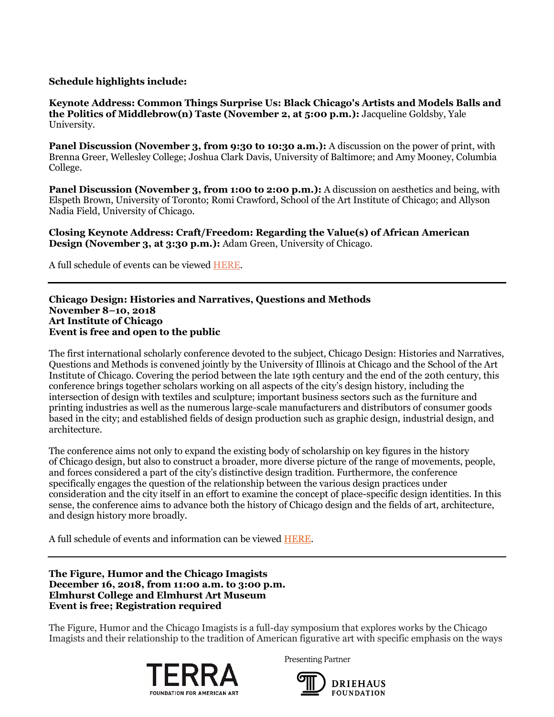### **Schedule highlights include:**

**Keynote Address: Common Things Surprise Us: Black Chicago's Artists and Models Balls and the Politics of Middlebrow(n) Taste (November 2, at 5:00 p.m.):** Jacqueline Goldsby, Yale University.

**Panel Discussion (November 3, from 9:30 to 10:30 a.m.):** A discussion on the power of print, with Brenna Greer, Wellesley College; Joshua Clark Davis, University of Baltimore; and Amy Mooney, Columbia College.

**Panel Discussion (November 3, from 1:00 to 2:00 p.m.):** A discussion on aesthetics and being, with Elspeth Brown, University of Toronto; Romi Crawford, School of the Art Institute of Chicago; and Allyson Nadia Field, University of Chicago.

**Closing Keynote Address: Craft/Freedom: Regarding the Value(s) of African American Design (November 3, at 3:30 p.m.):** Adam Green, University of Chicago.

A full schedule of events can be viewe[d HERE.](https://www.artdesignchicago.org/events/the-designs-of-african-american-life)

### **Chicago Design: Histories and Narratives, Questions and Methods November 8–10, 2018 Art Institute of Chicago Event is free and open to the public**

The first international scholarly conference devoted to the subject, Chicago Design: Histories and Narratives, Questions and Methods is convened jointly by the University of Illinois at Chicago and the School of the Art Institute of Chicago. Covering the period between the late 19th century and the end of the 20th century, this conference brings together scholars working on all aspects of the city's design history, including the intersection of design with textiles and sculpture; important business sectors such as the furniture and printing industries as well as the numerous large-scale manufacturers and distributors of consumer goods based in the city; and established fields of design production such as graphic design, industrial design, and architecture.

The conference aims not only to expand the existing body of scholarship on key figures in the history of Chicago design, but also to construct a broader, more diverse picture of the range of movements, people, and forces considered a part of the city's distinctive design tradition. Furthermore, the conference specifically engages the question of the relationship between the various design practices under consideration and the city itself in an effort to examine the concept of place-specific design identities. In this sense, the conference aims to advance both the history of Chicago design and the fields of art, architecture, and design history more broadly.

A full schedule of events and information can be viewed [HERE.](http://chicagodesignconference.com/schedule)

**The Figure, Humor and the Chicago Imagists December 16, 2018, from 11:00 a.m. to 3:00 p.m. Elmhurst College and Elmhurst Art Museum Event is free; Registration required**

The Figure, Humor and the Chicago Imagists is a full-day symposium that explores works by the Chicago Imagists and their relationship to the tradition of American figurative art with specific emphasis on the ways